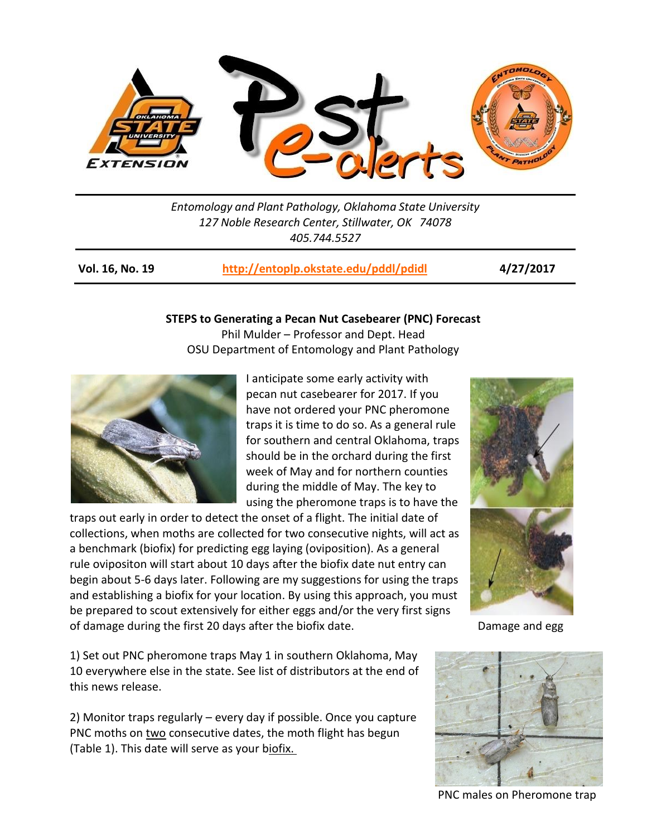

*Entomology and Plant Pathology, Oklahoma State University 127 Noble Research Center, Stillwater, OK 74078 405.744.5527*

| <b>Vol. 16, No. 19</b> | http://entoplp.okstate.edu/pddl/pdidl | 4/27/2017 |
|------------------------|---------------------------------------|-----------|
|------------------------|---------------------------------------|-----------|

### **STEPS to Generating a Pecan Nut Casebearer (PNC) Forecast**

Phil Mulder – Professor and Dept. Head OSU Department of Entomology and Plant Pathology



I anticipate some early activity with pecan nut casebearer for 2017. If you have not ordered your PNC pheromone traps it is time to do so. As a general rule for southern and central Oklahoma, traps should be in the orchard during the first week of May and for northern counties during the middle of May. The key to using the pheromone traps is to have the

traps out early in order to detect the onset of a flight. The initial date of collections, when moths are collected for two consecutive nights, will act as a benchmark (biofix) for predicting egg laying (oviposition). As a general rule ovipositon will start about 10 days after the biofix date nut entry can begin about 5-6 days later. Following are my suggestions for using the traps and establishing a biofix for your location. By using this approach, you must be prepared to scout extensively for either eggs and/or the very first signs of damage during the first 20 days after the biofix date. Damage and egg band egg



1) Set out PNC pheromone traps May 1 in southern Oklahoma, May 10 everywhere else in the state. See list of distributors at the end of this news release.

2) Monitor traps regularly – every day if possible. Once you capture PNC moths on two consecutive dates, the moth flight has begun (Table 1). This date will serve as your biofix.



PNC males on Pheromone trap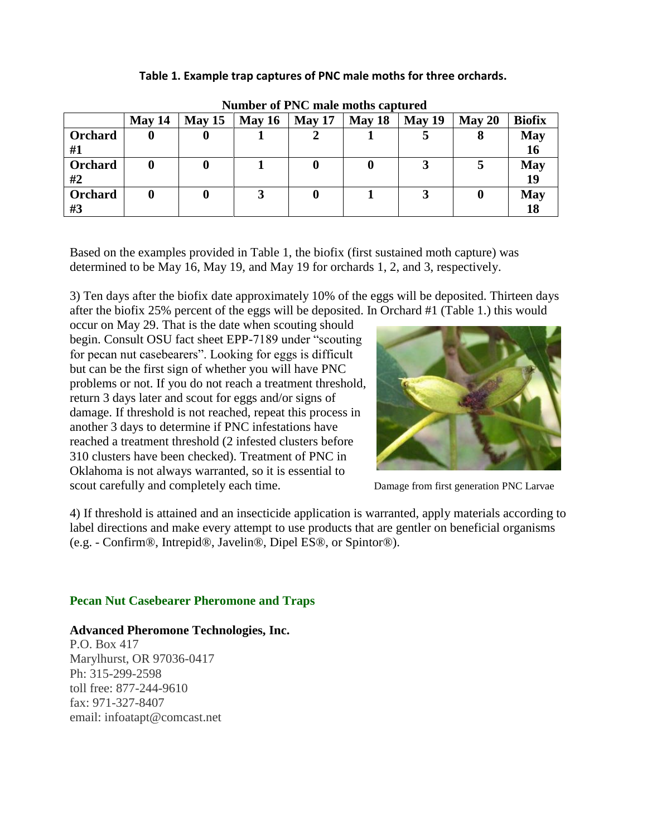**Table 1. Example trap captures of PNC male moths for three orchards.**

|               | May 14 | $\text{Mav} 15$ | May $16$ | May 17 | May 18 | May 19 | May 20 | <b>Biofix</b>    |
|---------------|--------|-----------------|----------|--------|--------|--------|--------|------------------|
| Orchard<br>#1 |        |                 |          |        |        |        |        | <b>May</b><br>16 |
| Orchard<br>#2 |        |                 |          | 0      |        |        |        | <b>May</b><br>19 |
| Orchard<br>#3 |        |                 |          |        |        |        |        | <b>May</b><br>18 |

**Number of PNC male moths captured**

Based on the examples provided in Table 1, the biofix (first sustained moth capture) was determined to be May 16, May 19, and May 19 for orchards 1, 2, and 3, respectively.

3) Ten days after the biofix date approximately 10% of the eggs will be deposited. Thirteen days after the biofix 25% percent of the eggs will be deposited. In Orchard #1 (Table 1.) this would

occur on May 29. That is the date when scouting should begin. Consult OSU fact sheet EPP-7189 under "scouting for pecan nut casebearers". Looking for eggs is difficult but can be the first sign of whether you will have PNC problems or not. If you do not reach a treatment threshold, return 3 days later and scout for eggs and/or signs of damage. If threshold is not reached, repeat this process in another 3 days to determine if PNC infestations have reached a treatment threshold (2 infested clusters before 310 clusters have been checked). Treatment of PNC in Oklahoma is not always warranted, so it is essential to scout carefully and completely each time. Damage from first generation PNC Larvae



4) If threshold is attained and an insecticide application is warranted, apply materials according to label directions and make every attempt to use products that are gentler on beneficial organisms (e.g. - Confirm®, Intrepid®, Javelin®, Dipel ES®, or Spintor®).

# **Pecan Nut Casebearer Pheromone and Traps**

# **Advanced Pheromone Technologies, Inc.**

P.O. Box 417 Marylhurst, OR 97036-0417 Ph: 315-299-2598 toll free: 877-244-9610 fax: 971-327-8407 email: infoatapt@comcast.net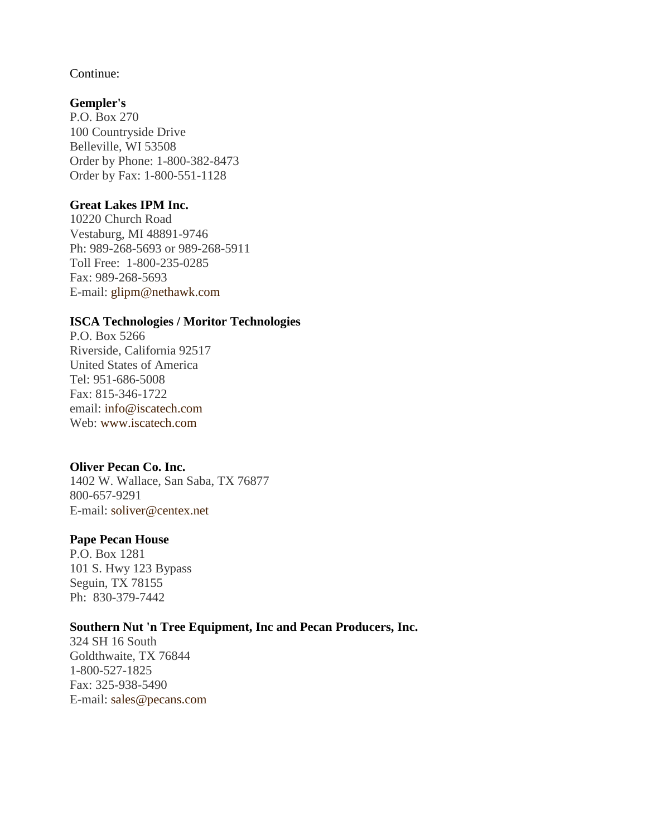Continue:

## **[Gempler's](http://www.gemplers.com/)**

P.O. Box 270 100 Countryside Drive Belleville, WI 53508 Order by Phone: 1-800-382-8473 Order by Fax: 1-800-551-1128

## **[Great Lakes IPM Inc.](http://www.greatlakesipm.com/)**

10220 Church Road Vestaburg, MI 48891-9746 Ph: 989-268-5693 or 989-268-5911 Toll Free: 1-800-235-0285 Fax: 989-268-5693 E-mail: [glipm@nethawk.com](mailto:glipm@nethawk.com)

### **[ISCA Technologies / Moritor Technologies](http://www.iscatech.com/exec/)**

P.O. Box 5266 Riverside, California 92517 United States of America Tel: 951-686-5008 Fax: 815-346-1722 email: [info@iscatech.com](mailto:info@iscatech.com) Web: [www.iscatech.com](http://www.iscatech.com/)

## **[Oliver Pecan Co. Inc.](http://www.oliverpecan.com/)**

1402 W. Wallace, San Saba, TX 76877 800-657-9291 E-mail: [soliver@centex.net](mailto:soliver@centex.net)

## **[Pape Pecan House](http://www.papepecan.com/)**

P.O. Box 1281 101 S. Hwy 123 Bypass Seguin, TX 78155 Ph: 830-379-7442

## **[Southern Nut 'n Tree Equipment, Inc and Pecan Producers, Inc.](http://www.pecans.com/)**

324 SH 16 South Goldthwaite, TX 76844 1-800-527-1825 Fax: 325-938-5490 E-mail: [sales@pecans.com](mailto:sales@pecans.com)